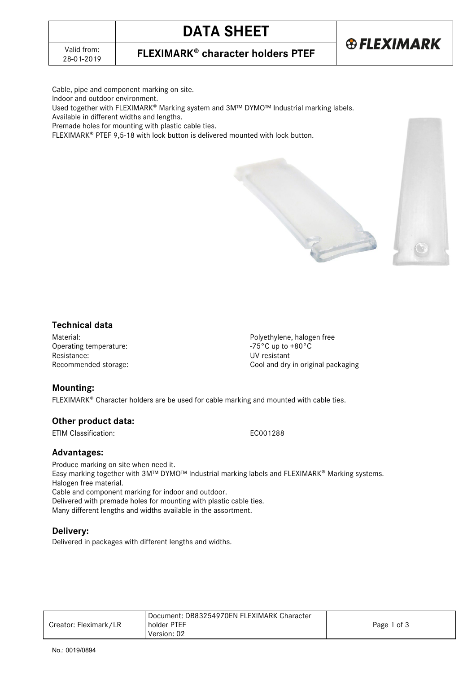## **DATA SHEET**



**FLEXIMARK<sup>®</sup> character holders PTEF** 

Cable, pipe and component marking on site.

Indoor and outdoor environment.

Used together with FLEXIMARK® Marking system and 3M™ DYMO™ Industrial marking labels.

Available in different widths and lengths.

Premade holes for mounting with plastic cable ties.

FLEXIMARK<sup>®</sup> PTEF 9,5-18 with lock button is delivered mounted with lock button.





### **Technical data**

Operating temperature: Resistance: UV-resistant<br>Recommended storage: Entry and the UV-resistant<br>Cool and dry

Material:<br>
Operating temperature:<br>
Operating temperature:<br>  $-75^{\circ}$ C up to +80°C Cool and dry in original packaging

### **Mounting:**

FLEXIMARK<sup>®</sup> Character holders are be used for cable marking and mounted with cable ties.

### **Other product data:**

ETIM Classification: ECO01288

### **Advantages:**

Produce marking on site when need it. Easy marking together with 3M™ DYMO™ Industrial marking labels and FLEXIMARK® Marking systems. Halogen free material. Cable and component marking for indoor and outdoor. Delivered with premade holes for mounting with plastic cable ties. Many different lengths and widths available in the assortment.

#### **Delivery:**

Delivered in packages with different lengths and widths.

|                       | Document: DB83254970EN FLEXIMARK Character |             |
|-----------------------|--------------------------------------------|-------------|
| Creator: Fleximark/LR | holder PTEF                                | Page 1 of 3 |
|                       | Version: 02                                |             |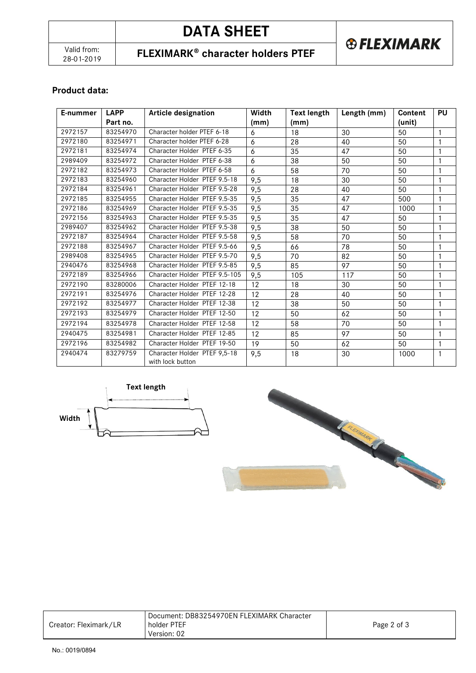# **DATA SHEET**

**FLEXIMARK<sup>®</sup> character holders PTEF** 

**® FLEXIMARK** 

### **Product data:**

| E-nummer | <b>LAPP</b> | <b>Article designation</b>                       | Width | <b>Text length</b> | Length (mm) | Content | <b>PU</b>    |
|----------|-------------|--------------------------------------------------|-------|--------------------|-------------|---------|--------------|
|          | Part no.    |                                                  | (mm)  | (mm)               |             | (unit)  |              |
| 2972157  | 83254970    | Character holder PTEF 6-18                       | 6     | 18                 | 30          | 50      |              |
| 2972180  | 83254971    | Character holder PTEF 6-28                       | 6     | 28                 | 40          | 50      |              |
| 2972181  | 83254974    | Character Holder PTEF 6-35                       | 6     | 35                 | 47          | 50      | $\mathbf{1}$ |
| 2989409  | 83254972    | Character Holder PTEF 6-38                       | 6     | 38                 | 50          | 50      | $\mathbf{1}$ |
| 2972182  | 83254973    | Character Holder PTEF 6-58                       | 6     | 58                 | 70          | 50      |              |
| 2972183  | 83254960    | Character Holder PTEF 9.5-18                     | 9,5   | 18                 | 30          | 50      |              |
| 2972184  | 83254961    | Character Holder PTEF 9.5-28                     | 9,5   | 28                 | 40          | 50      |              |
| 2972185  | 83254955    | Character Holder PTEF 9.5-35                     | 9,5   | 35                 | 47          | 500     | 1            |
| 2972186  | 83254969    | Character Holder PTEF 9.5-35                     | 9,5   | 35                 | 47          | 1000    |              |
| 2972156  | 83254963    | Character Holder PTEF 9.5-35                     | 9,5   | 35                 | 47          | 50      |              |
| 2989407  | 83254962    | Character Holder PTEF 9.5-38                     | 9,5   | 38                 | 50          | 50      |              |
| 2972187  | 83254964    | Character Holder PTEF 9.5-58                     | 9,5   | 58                 | 70          | 50      | $\mathbf{1}$ |
| 2972188  | 83254967    | Character Holder PTEF 9.5-66                     | 9,5   | 66                 | 78          | 50      | 1            |
| 2989408  | 83254965    | Character Holder PTEF 9.5-70                     | 9,5   | 70                 | 82          | 50      |              |
| 2940476  | 83254968    | Character Holder PTEF 9.5-85                     | 9,5   | 85                 | 97          | 50      |              |
| 2972189  | 83254966    | Character Holder PTEF 9.5-105                    | 9,5   | 105                | 117         | 50      | 1            |
| 2972190  | 83280006    | Character Holder PTEF 12-18                      | 12    | 18                 | 30          | 50      |              |
| 2972191  | 83254976    | Character Holder PTEF 12-28                      | 12    | 28                 | 40          | 50      | 1            |
| 2972192  | 83254977    | Character Holder PTEF 12-38                      | 12    | 38                 | 50          | 50      | 1            |
| 2972193  | 83254979    | Character Holder PTEF 12-50                      | 12    | 50                 | 62          | 50      | $\mathbf{1}$ |
| 2972194  | 83254978    | Character Holder PTEF 12-58                      | 12    | 58                 | 70          | 50      | $\mathbf{1}$ |
| 2940475  | 83254981    | Character Holder PTEF 12-85                      | 12    | 85                 | 97          | 50      | $\mathbf{1}$ |
| 2972196  | 83254982    | Character Holder PTEF 19-50                      | 19    | 50                 | 62          | 50      | 1            |
| 2940474  | 83279759    | Character Holder PTEF 9,5-18<br>with lock button | 9,5   | 18                 | 30          | 1000    | $\mathbf{1}$ |





|                       | Document: DB83254970EN FLEXIMARK Character |             |
|-----------------------|--------------------------------------------|-------------|
| Creator: Fleximark/LR | holder PTEF                                | Page 2 of 3 |
|                       | Version: 02                                |             |